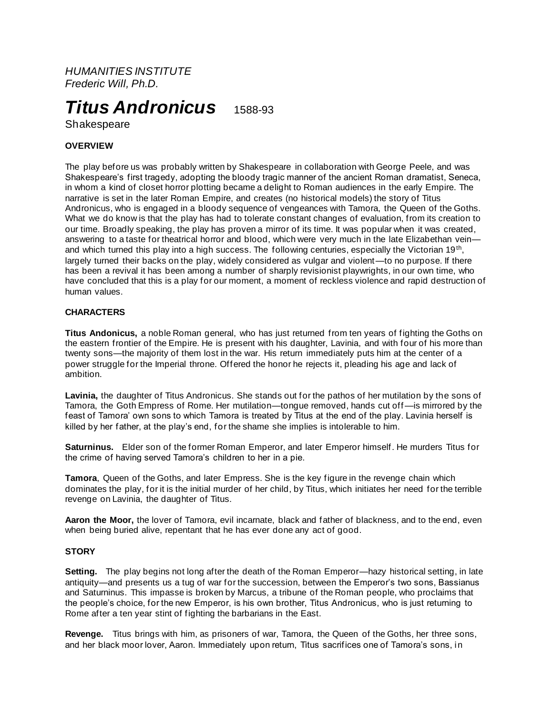*HUMANITIES INSTITUTE Frederic Will, Ph.D.*

# *Titus Andronicus* 1588-93

Shakespeare

## **OVERVIEW**

The play before us was probably written by Shakespeare in collaboration with George Peele, and was Shakespeare's first tragedy, adopting the bloody tragic manner of the ancient Roman dramatist, Seneca, in whom a kind of closet horror plotting became a delight to Roman audiences in the early Empire. The narrative is set in the later Roman Empire, and creates (no historical models) the story of Titus Andronicus, who is engaged in a bloody sequence of vengeances with Tamora, the Queen of the Goths. What we do know is that the play has had to tolerate constant changes of evaluation, from its creation to our time. Broadly speaking, the play has proven a mirror of its time. It was popular when it was created, answering to a taste for theatrical horror and blood, which were very much in the late Elizabethan vein and which turned this play into a high success. The following centuries, especially the Victorian 19th , largely turned their backs on the play, widely considered as vulgar and violent—to no purpose. If there has been a revival it has been among a number of sharply revisionist playwrights, in our own time, who have concluded that this is a play for our moment, a moment of reckless violence and rapid destruction of human values.

## **CHARACTERS**

**Titus Andonicus,** a noble Roman general, who has just returned from ten years of fighting the Goths on the eastern frontier of the Empire. He is present with his daughter, Lavinia, and with four of his more than twenty sons—the majority of them lost in the war. His return immediately puts him at the center of a power struggle for the Imperial throne. Offered the honor he rejects it, pleading his age and lack of ambition.

**Lavinia,** the daughter of Titus Andronicus. She stands out for the pathos of her mutilation by the sons of Tamora, the Goth Empress of Rome. Her mutilation—tongue removed, hands cut off—is mirrored by the feast of Tamora' own sons to which Tamora is treated by Titus at the end of the play. Lavinia herself is killed by her father, at the play's end, for the shame she implies is intolerable to him.

**Saturninus.** Elder son of the former Roman Emperor, and later Emperor himself. He murders Titus for the crime of having served Tamora's children to her in a pie.

**Tamora**, Queen of the Goths, and later Empress. She is the key figure in the revenge chain which dominates the play, for it is the initial murder of her child, by Titus, which initiates her need for the terrible revenge on Lavinia, the daughter of Titus.

**Aaron the Moor,** the lover of Tamora, evil incarnate, black and father of blackness, and to the end, even when being buried alive, repentant that he has ever done any act of good.

## **STORY**

**Setting.** The play begins not long after the death of the Roman Emperor—hazy historical setting, in late antiquity—and presents us a tug of war for the succession, between the Emperor's two sons, Bassianus and Saturninus. This impasse is broken by Marcus, a tribune of the Roman people, who proclaims that the people's choice, for the new Emperor, is his own brother, Titus Andronicus, who is just returning to Rome after a ten year stint of fighting the barbarians in the East.

**Revenge.** Titus brings with him, as prisoners of war, Tamora, the Queen of the Goths, her three sons, and her black moor lover, Aaron. Immediately upon return, Titus sacrifices one of Tamora's sons, in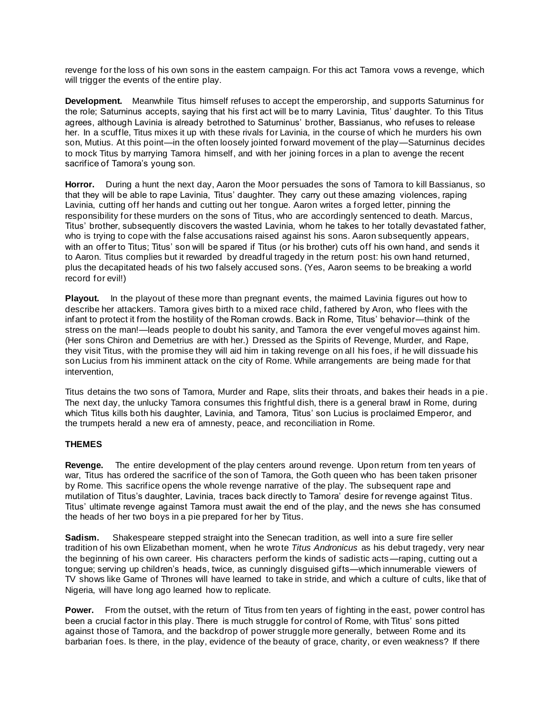revenge for the loss of his own sons in the eastern campaign. For this act Tamora vows a revenge, which will trigger the events of the entire play.

**Development.** Meanwhile Titus himself refuses to accept the emperorship, and supports Saturninus for the role; Saturninus accepts, saying that his first act will be to marry Lavinia, Titus' daughter. To this Titus agrees, although Lavinia is already betrothed to Saturninus' brother, Bassianus, who refuses to release her. In a scuffle, Titus mixes it up with these rivals for Lavinia, in the course of which he murders his own son, Mutius. At this point—in the often loosely jointed forward movement of the play—Saturninus decides to mock Titus by marrying Tamora himself, and with her joining forces in a plan to avenge the recent sacrifice of Tamora's young son.

**Horror.** During a hunt the next day, Aaron the Moor persuades the sons of Tamora to kill Bassianus, so that they will be able to rape Lavinia, Titus' daughter. They carry out these amazing violences, raping Lavinia, cutting off her hands and cutting out her tongue. Aaron writes a forged letter, pinning the responsibility for these murders on the sons of Titus, who are accordingly sentenced to death. Marcus, Titus' brother, subsequently discovers the wasted Lavinia, whom he takes to her totally devastated father, who is trying to cope with the false accusations raised against his sons. Aaron subsequently appears, with an offer to Titus; Titus' son will be spared if Titus (or his brother) cuts off his own hand, and sends it to Aaron. Titus complies but it rewarded by dreadful tragedy in the return post: his own hand returned, plus the decapitated heads of his two falsely accused sons. (Yes, Aaron seems to be breaking a world record for evil!)

**Playout.** In the playout of these more than pregnant events, the maimed Lavinia figures out how to describe her attackers. Tamora gives birth to a mixed race child, fathered by Aron, who flees with the infant to protect it from the hostility of the Roman crowds. Back in Rome, Titus' behavior—think of the stress on the man!—leads people to doubt his sanity, and Tamora the ever vengeful moves against him. (Her sons Chiron and Demetrius are with her.) Dressed as the Spirits of Revenge, Murder, and Rape, they visit Titus, with the promise they will aid him in taking revenge on all his foes, if he will dissuade his son Lucius from his imminent attack on the city of Rome. While arrangements are being made for that intervention,

Titus detains the two sons of Tamora, Murder and Rape, slits their throats, and bakes their heads in a pie. The next day, the unlucky Tamora consumes this frightful dish, there is a general brawl in Rome, during which Titus kills both his daughter, Lavinia, and Tamora, Titus' son Lucius is proclaimed Emperor, and the trumpets herald a new era of amnesty, peace, and reconciliation in Rome.

## **THEMES**

**Revenge.** The entire development of the play centers around revenge. Upon return from ten years of war, Titus has ordered the sacrifice of the son of Tamora, the Goth queen who has been taken prisoner by Rome. This sacrifice opens the whole revenge narrative of the play. The subsequent rape and mutilation of Titus's daughter, Lavinia, traces back directly to Tamora' desire for revenge against Titus. Titus' ultimate revenge against Tamora must await the end of the play, and the news she has consumed the heads of her two boys in a pie prepared for her by Titus.

**Sadism.** Shakespeare stepped straight into the Senecan tradition, as well into a sure fire seller tradition of his own Elizabethan moment, when he wrote *Titus Andronicus* as his debut tragedy, very near the beginning of his own career. His characters perform the kinds of sadistic acts—raping, cutting out a tongue; serving up children's heads, twice, as cunningly disguised gifts—which innumerable viewers of TV shows like Game of Thrones will have learned to take in stride, and which a culture of cults, like that of Nigeria, will have long ago learned how to replicate.

**Power.** From the outset, with the return of Titus from ten years of fighting in the east, power control has been a crucial factor in this play. There is much struggle for control of Rome, with Titus' sons pitted against those of Tamora, and the backdrop of power struggle more generally, between Rome and its barbarian foes. Is there, in the play, evidence of the beauty of grace, charity, or even weakness? If there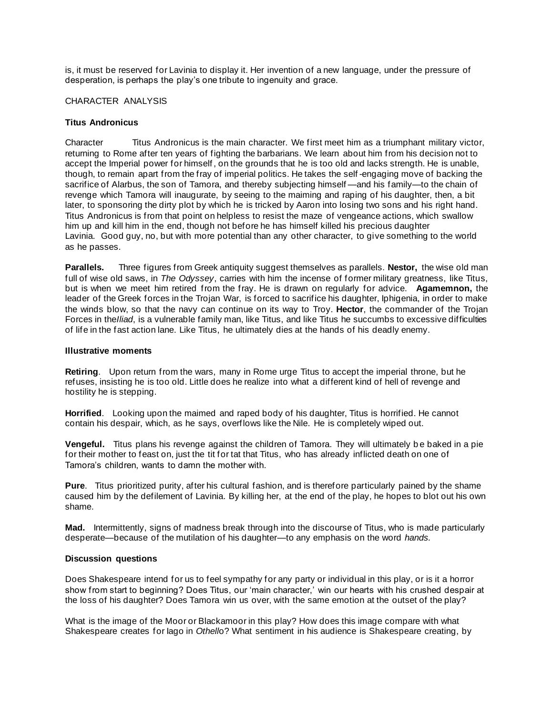is, it must be reserved for Lavinia to display it. Her invention of a new language, under the pressure of desperation, is perhaps the play's one tribute to ingenuity and grace.

### CHARACTER ANALYSIS

#### **Titus Andronicus**

Character Titus Andronicus is the main character. We first meet him as a triumphant military victor, returning to Rome after ten years of fighting the barbarians. We learn about him from his decision not to accept the Imperial power for himself , on the grounds that he is too old and lacks strength. He is unable, though, to remain apart from the fray of imperial politics. He takes the self -engaging move of backing the sacrifice of Alarbus, the son of Tamora, and thereby subjecting himself —and his family—to the chain of revenge which Tamora will inaugurate, by seeing to the maiming and raping of his daughter, then, a bit later, to sponsoring the dirty plot by which he is tricked by Aaron into losing two sons and his right hand. Titus Andronicus is from that point on helpless to resist the maze of vengeance actions, which swallow him up and kill him in the end, though not before he has himself killed his precious daughter Lavinia. Good guy, no, but with more potential than any other character, to give something to the world as he passes.

**Parallels.** Three figures from Greek antiquity suggest themselves as parallels. **Nestor,** the wise old man full of wise old saws, in *The Odyssey*, carries with him the incense of former military greatness, like Titus, but is when we meet him retired from the fray. He is drawn on regularly for advice. **Agamemnon,** the leader of the Greek forces in the Trojan War, is forced to sacrifice his daughter, Iphigenia, in order to make the winds blow, so that the navy can continue on its way to Troy. **Hector**, the commander of the Trojan Forces in the*Iliad*, is a vulnerable family man, like Titus, and like Titus he succumbs to excessive difficulties of life in the fast action lane. Like Titus, he ultimately dies at the hands of his deadly enemy.

#### **Illustrative moments**

**Retiring**. Upon return from the wars, many in Rome urge Titus to accept the imperial throne, but he refuses, insisting he is too old. Little does he realize into what a different kind of hell of revenge and hostility he is stepping.

**Horrified**. Looking upon the maimed and raped body of his daughter, Titus is horrified. He cannot contain his despair, which, as he says, overflows like the Nile. He is completely wiped out.

**Vengeful.** Titus plans his revenge against the children of Tamora. They will ultimately be baked in a pie for their mother to feast on, just the tit for tat that Titus, who has already inflicted death on one of Tamora's children, wants to damn the mother with.

**Pure**. Titus prioritized purity, after his cultural fashion, and is therefore particularly pained by the shame caused him by the defilement of Lavinia. By killing her, at the end of the play, he hopes to blot out his own shame.

**Mad.** Intermittently, signs of madness break through into the discourse of Titus, who is made particularly desperate—because of the mutilation of his daughter—to any emphasis on the word *hands.*

#### **Discussion questions**

Does Shakespeare intend for us to feel sympathy for any party or individual in this play, or is it a horror show from start to beginning? Does Titus, our 'main character,' win our hearts with his crushed despair at the loss of his daughter? Does Tamora win us over, with the same emotion at the outset of the play?

What is the image of the Moor or Blackamoor in this play? How does this image compare with what Shakespeare creates for Iago in *Othell*o? What sentiment in his audience is Shakespeare creating, by